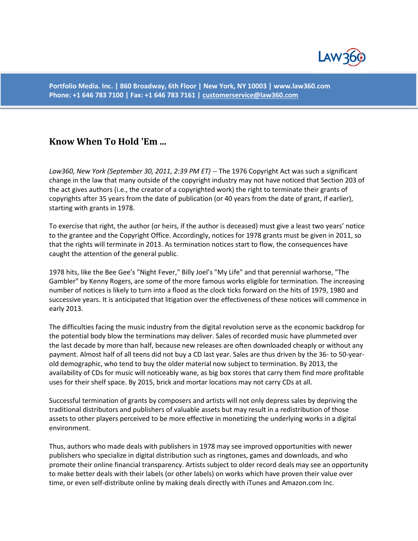

**Portfolio Media. Inc. | 860 Broadway, 6th Floor | New York, NY 10003 | www.law360.com Phone: +1 646 783 7100 | Fax: +1 646 783 7161 [| customerservice@law360.com](mailto:customerservice@law360.com)**

## **Know When To Hold 'Em ...**

*Law360, New York (September 30, 2011, 2:39 PM ET)* -- The 1976 Copyright Act was such a significant change in the law that many outside of the copyright industry may not have noticed that Section 203 of the act gives authors (i.e., the creator of a copyrighted work) the right to terminate their grants of copyrights after 35 years from the date of publication (or 40 years from the date of grant, if earlier), starting with grants in 1978.

To exercise that right, the author (or heirs, if the author is deceased) must give a least two years' notice to the grantee and the Copyright Office. Accordingly, notices for 1978 grants must be given in 2011, so that the rights will terminate in 2013. As termination notices start to flow, the consequences have caught the attention of the general public.

1978 hits, like the Bee Gee's "Night Fever," Billy Joel's "My Life" and that perennial warhorse, "The Gambler" by Kenny Rogers, are some of the more famous works eligible for termination. The increasing number of notices is likely to turn into a flood as the clock ticks forward on the hits of 1979, 1980 and successive years. It is anticipated that litigation over the effectiveness of these notices will commence in early 2013.

The difficulties facing the music industry from the digital revolution serve as the economic backdrop for the potential body blow the terminations may deliver. Sales of recorded music have plummeted over the last decade by more than half, because new releases are often downloaded cheaply or without any payment. Almost half of all teens did not buy a CD last year. Sales are thus driven by the 36- to 50-yearold demographic, who tend to buy the older material now subject to termination. By 2013, the availability of CDs for music will noticeably wane, as big box stores that carry them find more profitable uses for their shelf space. By 2015, brick and mortar locations may not carry CDs at all.

Successful termination of grants by composers and artists will not only depress sales by depriving the traditional distributors and publishers of valuable assets but may result in a redistribution of those assets to other players perceived to be more effective in monetizing the underlying works in a digital environment.

Thus, authors who made deals with publishers in 1978 may see improved opportunities with newer publishers who specialize in digital distribution such as ringtones, games and downloads, and who promote their online financial transparency. Artists subject to older record deals may see an opportunity to make better deals with their labels (or other labels) on works which have proven their value over time, or even self-distribute online by making deals directly with iTunes and Amazon.com Inc.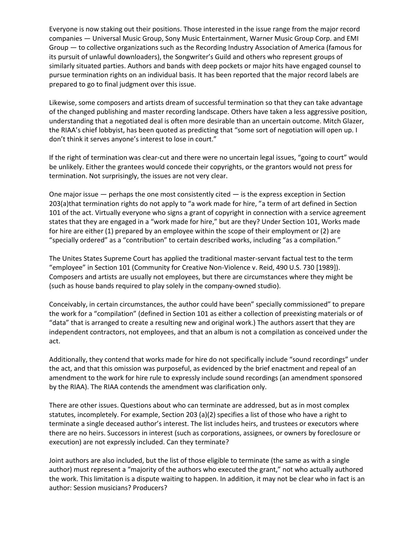Everyone is now staking out their positions. Those interested in the issue range from the major record companies — Universal Music Group, Sony Music Entertainment, Warner Music Group Corp. and EMI Group — to collective organizations such as the Recording Industry Association of America (famous for its pursuit of unlawful downloaders), the Songwriter's Guild and others who represent groups of similarly situated parties. Authors and bands with deep pockets or major hits have engaged counsel to pursue termination rights on an individual basis. It has been reported that the major record labels are prepared to go to final judgment over this issue.

Likewise, some composers and artists dream of successful termination so that they can take advantage of the changed publishing and master recording landscape. Others have taken a less aggressive position, understanding that a negotiated deal is often more desirable than an uncertain outcome. Mitch Glazer, the RIAA's chief lobbyist, has been quoted as predicting that "some sort of negotiation will open up. I don't think it serves anyone's interest to lose in court."

If the right of termination was clear-cut and there were no uncertain legal issues, "going to court" would be unlikely. Either the grantees would concede their copyrights, or the grantors would not press for termination. Not surprisingly, the issues are not very clear.

One major issue  $-$  perhaps the one most consistently cited  $-$  is the express exception in Section 203(a)that termination rights do not apply to "a work made for hire, "a term of art defined in Section 101 of the act. Virtually everyone who signs a grant of copyright in connection with a service agreement states that they are engaged in a "work made for hire," but are they? Under Section 101, Works made for hire are either (1) prepared by an employee within the scope of their employment or (2) are "specially ordered" as a "contribution" to certain described works, including "as a compilation."

The Unites States Supreme Court has applied the traditional master-servant factual test to the term "employee" in Section 101 (Community for Creative Non-Violence v. Reid, 490 U.S. 730 [1989]). Composers and artists are usually not employees, but there are circumstances where they might be (such as house bands required to play solely in the company-owned studio).

Conceivably, in certain circumstances, the author could have been" specially commissioned" to prepare the work for a "compilation" (defined in Section 101 as either a collection of preexisting materials or of "data" that is arranged to create a resulting new and original work.) The authors assert that they are independent contractors, not employees, and that an album is not a compilation as conceived under the act.

Additionally, they contend that works made for hire do not specifically include "sound recordings" under the act, and that this omission was purposeful, as evidenced by the brief enactment and repeal of an amendment to the work for hire rule to expressly include sound recordings (an amendment sponsored by the RIAA). The RIAA contends the amendment was clarification only.

There are other issues. Questions about who can terminate are addressed, but as in most complex statutes, incompletely. For example, Section 203 (a)(2) specifies a list of those who have a right to terminate a single deceased author's interest. The list includes heirs, and trustees or executors where there are no heirs. Successors in interest (such as corporations, assignees, or owners by foreclosure or execution) are not expressly included. Can they terminate?

Joint authors are also included, but the list of those eligible to terminate (the same as with a single author) must represent a "majority of the authors who executed the grant," not who actually authored the work. This limitation is a dispute waiting to happen. In addition, it may not be clear who in fact is an author: Session musicians? Producers?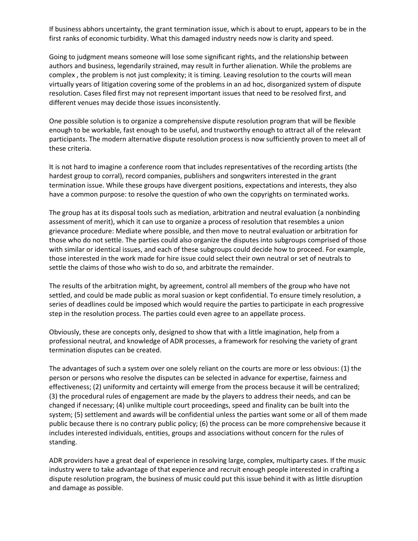If business abhors uncertainty, the grant termination issue, which is about to erupt, appears to be in the first ranks of economic turbidity. What this damaged industry needs now is clarity and speed.

Going to judgment means someone will lose some significant rights, and the relationship between authors and business, legendarily strained, may result in further alienation. While the problems are complex , the problem is not just complexity; it is timing. Leaving resolution to the courts will mean virtually years of litigation covering some of the problems in an ad hoc, disorganized system of dispute resolution. Cases filed first may not represent important issues that need to be resolved first, and different venues may decide those issues inconsistently.

One possible solution is to organize a comprehensive dispute resolution program that will be flexible enough to be workable, fast enough to be useful, and trustworthy enough to attract all of the relevant participants. The modern alternative dispute resolution process is now sufficiently proven to meet all of these criteria.

It is not hard to imagine a conference room that includes representatives of the recording artists (the hardest group to corral), record companies, publishers and songwriters interested in the grant termination issue. While these groups have divergent positions, expectations and interests, they also have a common purpose: to resolve the question of who own the copyrights on terminated works.

The group has at its disposal tools such as mediation, arbitration and neutral evaluation (a nonbinding assessment of merit), which it can use to organize a process of resolution that resembles a union grievance procedure: Mediate where possible, and then move to neutral evaluation or arbitration for those who do not settle. The parties could also organize the disputes into subgroups comprised of those with similar or identical issues, and each of these subgroups could decide how to proceed. For example, those interested in the work made for hire issue could select their own neutral or set of neutrals to settle the claims of those who wish to do so, and arbitrate the remainder.

The results of the arbitration might, by agreement, control all members of the group who have not settled, and could be made public as moral suasion or kept confidential. To ensure timely resolution, a series of deadlines could be imposed which would require the parties to participate in each progressive step in the resolution process. The parties could even agree to an appellate process.

Obviously, these are concepts only, designed to show that with a little imagination, help from a professional neutral, and knowledge of ADR processes, a framework for resolving the variety of grant termination disputes can be created.

The advantages of such a system over one solely reliant on the courts are more or less obvious: (1) the person or persons who resolve the disputes can be selected in advance for expertise, fairness and effectiveness; (2) uniformity and certainty will emerge from the process because it will be centralized; (3) the procedural rules of engagement are made by the players to address their needs, and can be changed if necessary; (4) unlike multiple court proceedings, speed and finality can be built into the system; (5) settlement and awards will be confidential unless the parties want some or all of them made public because there is no contrary public policy; (6) the process can be more comprehensive because it includes interested individuals, entities, groups and associations without concern for the rules of standing.

ADR providers have a great deal of experience in resolving large, complex, multiparty cases. If the music industry were to take advantage of that experience and recruit enough people interested in crafting a dispute resolution program, the business of music could put this issue behind it with as little disruption and damage as possible.